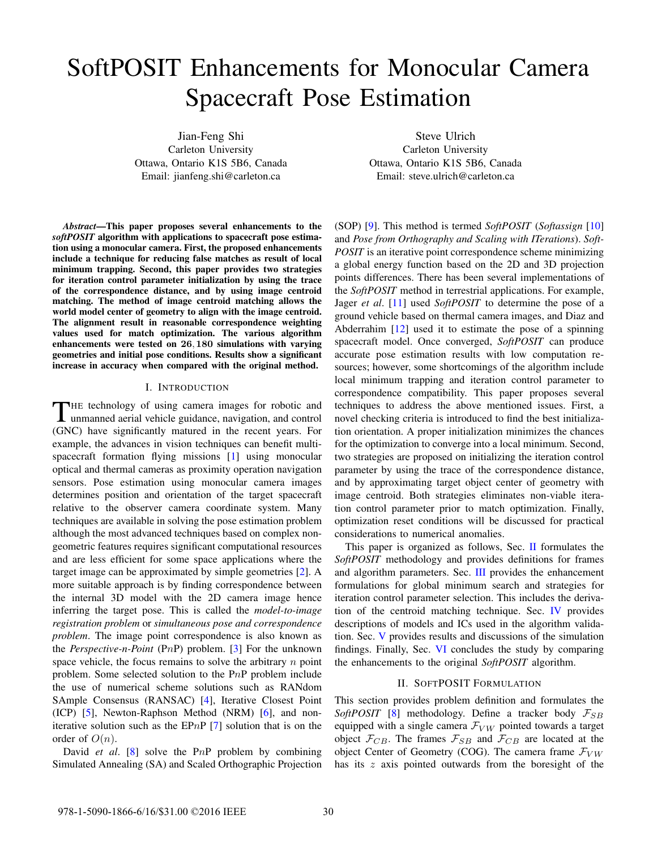# SoftPOSIT Enhancements for Monocular Camera Spacecraft Pose Estimation

Jian-Feng Shi Carleton University Ottawa, Ontario K1S 5B6, Canada Email: jianfeng.shi@carleton.ca

*Abstract*—This paper proposes several enhancements to the *softPOSIT* algorithm with applications to spacecraft pose estimation using a monocular camera. First, the proposed enhancements include a technique for reducing false matches as result of local minimum trapping. Second, this paper provides two strategies for iteration control parameter initialization by using the trace of the correspondence distance, and by using image centroid matching. The method of image centroid matching allows the world model center of geometry to align with the image centroid. The alignment result in reasonable correspondence weighting values used for match optimization. The various algorithm enhancements were tested on **26**,**180** simulations with varying geometries and initial pose conditions. Results show a significant increase in accuracy when compared with the original method.

# I. INTRODUCTION

THE technology of using camera images for robotic and<br>unmanned aerial vehicle guidance, navigation, and control (GNC) have significantly matured in the recent years. For example, the advances in vision techniques can benefit multispacecraft formation flying missions [1] using monocular optical and thermal cameras as proximity operation navigation sensors. Pose estimation using monocular camera images determines position and orientation of the target spacecraft relative to the observer camera coordinate system. Many techniques are available in solving the pose estimation problem although the most advanced techniques based on complex nongeometric features requires significant computational resources and are less efficient for some space applications where the target image can be approximated by simple geometries [2]. A more suitable approach is by finding correspondence between the internal 3D model with the 2D camera image hence inferring the target pose. This is called the *model-to-image registration problem* or *simultaneous pose and correspondence problem*. The image point correspondence is also known as the *Perspective-n-Point* (P*n*P) problem. [3] For the unknown space vehicle, the focus remains to solve the arbitrary *n* point problem. Some selected solution to the P*n*P problem include the use of numerical scheme solutions such as RANdom SAmple Consensus (RANSAC) [4], Iterative Closest Point (ICP) [5], Newton-Raphson Method (NRM) [6], and noniterative solution such as the EP*n*P [7] solution that is on the order of  $O(n)$ .

David *et al*. [8] solve the P*n*P problem by combining Simulated Annealing (SA) and Scaled Orthographic Projection

Steve Ulrich Carleton University Ottawa, Ontario K1S 5B6, Canada Email: steve.ulrich@carleton.ca

(SOP) [9]. This method is termed *SoftPOSIT* (*Softassign* [10] and *Pose from Orthography and Scaling with ITerations*). *Soft-POSIT* is an iterative point correspondence scheme minimizing a global energy function based on the 2D and 3D projection points differences. There has been several implementations of the *SoftPOSIT* method in terrestrial applications. For example, Jager *et al*. [11] used *SoftPOSIT* to determine the pose of a ground vehicle based on thermal camera images, and Diaz and Abderrahim  $[12]$  used it to estimate the pose of a spinning spacecraft model. Once converged, *SoftPOSIT* can produce accurate pose estimation results with low computation resources; however, some shortcomings of the algorithm include local minimum trapping and iteration control parameter to correspondence compatibility. This paper proposes several techniques to address the above mentioned issues. First, a novel checking criteria is introduced to find the best initialization orientation. A proper initialization minimizes the chances for the optimization to converge into a local minimum. Second, two strategies are proposed on initializing the iteration control parameter by using the trace of the correspondence distance, and by approximating target object center of geometry with image centroid. Both strategies eliminates non-viable iteration control parameter prior to match optimization. Finally, optimization reset conditions will be discussed for practical considerations to numerical anomalies.

This paper is organized as follows, Sec. II formulates the *SoftPOSIT* methodology and provides definitions for frames and algorithm parameters. Sec. III provides the enhancement formulations for global minimum search and strategies for iteration control parameter selection. This includes the derivation of the centroid matching technique. Sec. IV provides descriptions of models and ICs used in the algorithm validation. Sec. V provides results and discussions of the simulation findings. Finally, Sec. VI concludes the study by comparing the enhancements to the original *SoftPOSIT* algorithm.

# II. SOFTPOSIT FORMULATION

This section provides problem definition and formulates the *SoftPOSIT* [8] methodology. Define a tracker body  $\mathcal{F}_{SB}$ equipped with a single camera  $\mathcal{F}_{VW}$  pointed towards a target object  $\mathcal{F}_{CB}$ . The frames  $\mathcal{F}_{SB}$  and  $\mathcal{F}_{CB}$  are located at the object Center of Geometry (COG). The camera frame  $\mathcal{F}_{VW}$ has its *z* axis pointed outwards from the boresight of the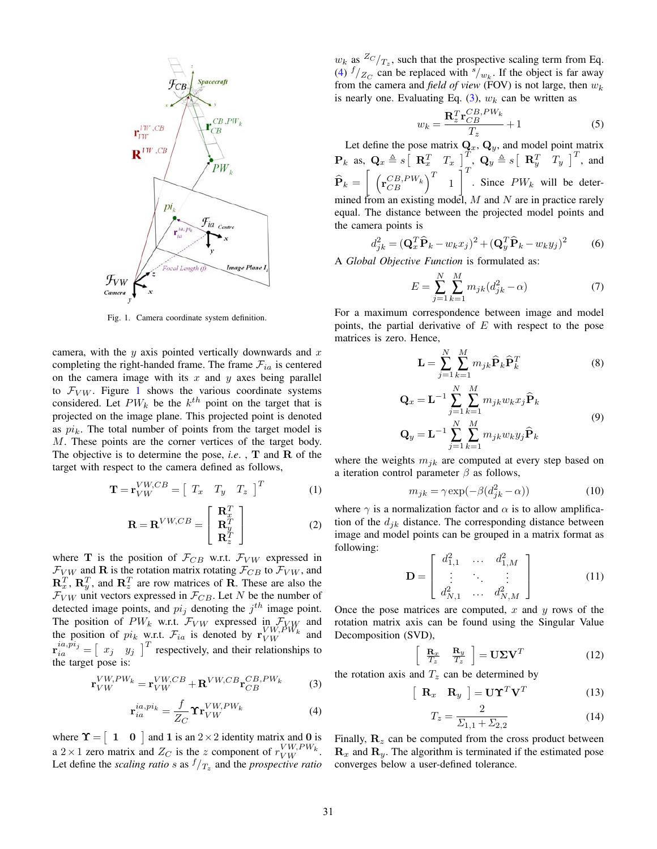

Fig. 1. Camera coordinate system definition.

camera, with the *y* axis pointed vertically downwards and *x* completing the right-handed frame. The frame  $\mathcal{F}_{ia}$  is centered on the camera image with its *x* and *y* axes being parallel to  $\mathcal{F}_{VW}$ . Figure 1 shows the various coordinate systems considered. Let  $PW_k$  be the  $k^{th}$  point on the target that is projected on the image plane. This projected point is denoted as  $pi_k$ . The total number of points from the target model is *M*. These points are the corner vertices of the target body. The objective is to determine the pose, *i.e*. , **T** and **R** of the target with respect to the camera defined as follows,

$$
\mathbf{T} = \mathbf{r}_{VW}^{VW,CB} = \begin{bmatrix} T_x & T_y & T_z \end{bmatrix}^T \tag{1}
$$

$$
\mathbf{R} = \mathbf{R}^{VW, CB} = \begin{bmatrix} \mathbf{R}_x^T \\ \mathbf{R}_y^T \\ \mathbf{R}_z^T \end{bmatrix}
$$
 (2)

where **T** is the position of  $\mathcal{F}_{CB}$  w.r.t.  $\mathcal{F}_{VW}$  expressed in  $\mathcal{F}_{VW}$  and **R** is the rotation matrix rotating  $\mathcal{F}_{CB}$  to  $\mathcal{F}_{VW}$ , and  $\mathbf{R}_x^T$ ,  $\mathbf{R}_y^T$ , and  $\mathbf{R}_z^T$  are row matrices of **R**. These are also the  $\mathcal{F}_{VW}$  unit vectors expressed in  $\mathcal{F}_{CB}$ . Let *N* be the number of detected image points, and  $pi_j$  denoting the  $j<sup>th</sup>$  image point. The position of  $PW_k$  w.r.t.  $\mathcal{F}_{VW}$  expressed in  $\mathcal{F}_{VW}$  and the position of might write  $\mathcal{F}$  is denoted by  $\mathbf{v}^{VW,PW_k}$  and the position of  $pi_k$  w.r.t.  $\mathcal{F}_{ia}$  is denoted by  $\mathbf{r}_{VW}^{VW,PW_k}$  and  $\mathbf{r}_{ia}^{ia,pi_j} = \begin{bmatrix} x_j & y_j \end{bmatrix}^T$  respectively, and their relationships to the target pose is: the target pose is:

$$
\mathbf{r}_{VW}^{VW,PW_k} = \mathbf{r}_{VW}^{VW,CB} + \mathbf{R}^{VW,CB} \mathbf{r}_{CB}^{CB,PW_k}
$$
 (3)

$$
\mathbf{r}_{ia}^{ia,pi_k} = \frac{f}{Z_C} \mathbf{\hat{T}} \mathbf{r}_{VW}^{VW,PW_k}
$$
 (4)

where  $\Upsilon = \begin{bmatrix} 1 & 0 \end{bmatrix}$  and 1 is an 2×2 identity matrix and 0 is a  $2 \times 1$  zero matrix and  $Z_C$  is the *z* component of  $\frac{V W_{\gamma} P W_{k}}{V W_{\gamma}}$ .<br>Let define the scaling ratio s as  $f_{\gamma}$  and the prospective ratio Let define the *scaling ratio s* as  $f/T_z$  and the *prospective ratio* 

 $w_k$  as  ${}^{Z_C}/T_z$ , such that the prospective scaling term from Eq.<br>(4)  $f/z$  can be replaced with  $s/$ . If the object is far away (4)  $f/Z_C$  can be replaced with  $\frac{s}{v} / w_k$ . If the object is far away from the camera and *field of view* (FOV) is not large, then *<sup>w</sup>*k is nearly one. Evaluating Eq.  $(3)$ ,  $w_k$  can be written as

$$
w_k = \frac{\mathbf{R}_z^T \mathbf{r}_{CB}^{CB,PW_k}}{T_z} + 1
$$
 (5)

Let define the pose matrix  $\mathbf{Q}_x$ ,  $\mathbf{Q}_y$ , and model point matrix  $\mathbf{P}_k$  as,  $\mathbf{Q}_x \triangleq s \left[ \begin{array}{cc} \mathbf{R}_x^T & T_x \end{array} \right]_T^T$ ,  $\mathbf{Q}_y \triangleq s \left[ \begin{array}{cc} \mathbf{R}_y^T & T_y \end{array} \right]_T^T$ , and  $\mathbf{P}_k =$  $\left[\begin{array}{cc} \left(\mathbf{r}_{CB}^{CB,PW_k}\right)^T & 1 \end{array}\right]$  $\int_0^T$ . Since  $PW_k$  will be determined from an existing model, *M* and *N* are in practice rarely equal. The distance between the projected model points and the camera points is

$$
d_{jk}^2 = (\mathbf{Q}_x^T \widehat{\mathbf{P}}_k - w_k x_j)^2 + (\mathbf{Q}_y^T \widehat{\mathbf{P}}_k - w_k y_j)^2 \tag{6}
$$

A *Global Objective Function* is formulated as:

$$
E = \sum_{j=1}^{N} \sum_{k=1}^{M} m_{jk} (d_{jk}^2 - \alpha)
$$
 (7)

For a maximum correspondence between image and model points, the partial derivative of *E* with respect to the pose matrices is zero. Hence,

$$
\mathbf{L} = \sum_{j=1}^{N} \sum_{k=1}^{M} m_{jk} \widehat{\mathbf{P}}_k \widehat{\mathbf{P}}_k^T
$$
 (8)

$$
\mathbf{Q}_x = \mathbf{L}^{-1} \sum_{j=1}^N \sum_{k=1}^M m_{jk} w_k x_j \hat{\mathbf{P}}_k
$$
  

$$
\mathbf{Q}_y = \mathbf{L}^{-1} \sum_{j=1}^N \sum_{k=1}^M m_{jk} w_k y_j \hat{\mathbf{P}}_k
$$
 (9)

where the weights  $m_{jk}$  are computed at every step based on<br>a iteration control perspecter  $\beta$  as follows a iteration control parameter *β* as follows,

$$
m_{jk} = \gamma \exp(-\beta (d_{jk}^2 - \alpha))
$$
 (10)

where  $\gamma$  is a normalization factor and  $\alpha$  is to allow amplification of the  $d_{jk}$  distance. The corresponding distance between image and model points can be grouped in a matrix format as following:

$$
\mathbf{D} = \begin{bmatrix} d_{1,1}^2 & \cdots & d_{1,M}^2 \\ \vdots & \ddots & \vdots \\ d_{N,1}^2 & \cdots & d_{N,M}^2 \end{bmatrix}
$$
 (11)

Once the pose matrices are computed,  $\overline{x}$  and  $\overline{y}$  rows of the rotation matrix axis can be found using the Singular Value Decomposition (SVD),

$$
\left[\begin{array}{cc} \mathbf{R}_x & \mathbf{R}_y \\ \overline{T_z} & \overline{T_z} \end{array}\right] = \mathbf{U} \Sigma \mathbf{V}^T \tag{12}
$$

the rotation axis and  $T_z$  can be determined by

$$
\left[\begin{array}{cc} \mathbf{R}_x & \mathbf{R}_y \end{array}\right] = \mathbf{U}\Upsilon^T\mathbf{V}^T \tag{13}
$$

$$
T_z = \frac{2}{\Sigma_{1,1} + \Sigma_{2,2}}\tag{14}
$$

Finally,  $\mathbf{R}_z$  can be computed from the cross product between  $\mathbf{R}_z$  and  $\mathbf{R}_z$ . The electric is terminated if the estimated peach  $\mathbf{R}_x$  and  $\mathbf{R}_y$ . The algorithm is terminated if the estimated pose converges below a user-defined tolerance.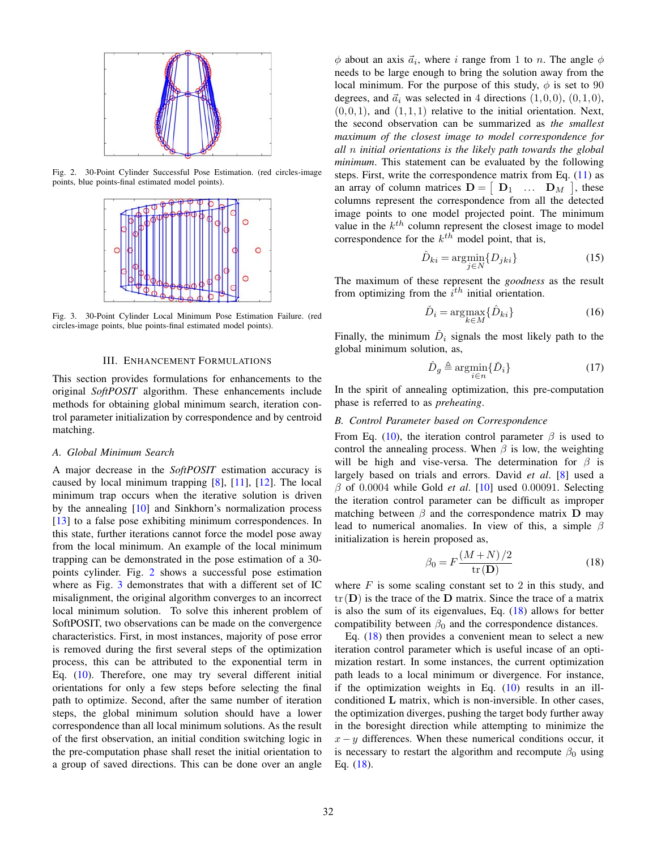

Fig. 2. 30-Point Cylinder Successful Pose Estimation. (red circles-image points, blue points-final estimated model points).



Fig. 3. 30-Point Cylinder Local Minimum Pose Estimation Failure. (red circles-image points, blue points-final estimated model points).

#### III. ENHANCEMENT FORMULATIONS

This section provides formulations for enhancements to the original *SoftPOSIT* algorithm. These enhancements include methods for obtaining global minimum search, iteration control parameter initialization by correspondence and by centroid matching.

## *A. Global Minimum Search*

A major decrease in the *SoftPOSIT* estimation accuracy is caused by local minimum trapping  $[8]$ ,  $[11]$ ,  $[12]$ . The local minimum trap occurs when the iterative solution is driven by the annealing [10] and Sinkhorn's normalization process [13] to a false pose exhibiting minimum correspondences. In this state, further iterations cannot force the model pose away from the local minimum. An example of the local minimum trapping can be demonstrated in the pose estimation of a 30 points cylinder. Fig. 2 shows a successful pose estimation where as Fig. 3 demonstrates that with a different set of IC misalignment, the original algorithm converges to an incorrect local minimum solution. To solve this inherent problem of SoftPOSIT, two observations can be made on the convergence characteristics. First, in most instances, majority of pose error is removed during the first several steps of the optimization process, this can be attributed to the exponential term in Eq. (10). Therefore, one may try several different initial orientations for only a few steps before selecting the final path to optimize. Second, after the same number of iteration steps, the global minimum solution should have a lower correspondence than all local minimum solutions. As the result of the first observation, an initial condition switching logic in the pre-computation phase shall reset the initial orientation to a group of saved directions. This can be done over an angle

 $\phi$  about an axis  $\vec{a}_i$ , where *i* range from 1 to *n*. The angle  $\phi$ needs to be large enough to bring the solution away from the local minimum. For the purpose of this study,  $\phi$  is set to 90 degrees, and  $\vec{a}_i$  was selected in 4 directions  $(1,0,0)$ ,  $(0,1,0)$ ,  $(0,0,1)$ , and  $(1,1,1)$  relative to the initial orientation. Next, the second observation can be summarized as *the smallest maximum of the closest image to model correspondence for all n initial orientations is the likely path towards the global minimum*. This statement can be evaluated by the following steps. First, write the correspondence matrix from Eq.  $(11)$  as an array of column matrices  $\mathbf{D} = \begin{bmatrix} \mathbf{D}_1 & \dots & \mathbf{D}_M \end{bmatrix}$ , these<br>columns represent the correspondence from all the detected columns represent the correspondence from all the detected image points to one model projected point. The minimum value in the  $k^{th}$  column represent the closest image to model correspondence for the  $k^{th}$  model point, that is,

$$
\hat{D}_{ki} = \underset{j \in N}{\operatorname{argmin}} \{ D_{jki} \}
$$
\n(15)

The maximum of these represent the *goodness* as the result from optimizing from the  $i^{th}$  initial orientation.

$$
\check{D}_i = \underset{k \in M}{\operatorname{argmax}} \{ \hat{D}_{ki} \}
$$
\n(16)

Finally, the minimum  $D_i$  signals the most likely path to the global minimum solution, as,

$$
\hat{D}_g \triangleq \operatorname*{argmin}_{i \in n} {\{\check{D}_i\}}
$$
\n(17)

In the spirit of annealing optimization, this pre-computation phase is referred to as *preheating*.

# *B. Control Parameter based on Correspondence*

From Eq. (10), the iteration control parameter  $\beta$  is used to control the annealing process. When  $\beta$  is low, the weighting will be high and vise-versa. The determination for  $\beta$  is largely based on trials and errors. David *et al*. [8] used a *<sup>β</sup>* of 0*.*0004 while Gold *et al*. [10] used 0*.*00091. Selecting the iteration control parameter can be difficult as improper matching between  $\beta$  and the correspondence matrix **D** may lead to numerical anomalies. In view of this, a simple *β* initialization is herein proposed as,

$$
\beta_0 = F \frac{(M+N)/2}{\text{tr}(\mathbf{D})}
$$
(18)

where *F* is some scaling constant set to 2 in this study, and  $tr(\mathbf{D})$  is the trace of the  $\mathbf{D}$  matrix. Since the trace of a matrix  $tr(\mathbf{D})$  is the trace of the  $\mathbf{D}$  matrix. Since the trace of a matrix is also the sum of its eigenvalues, Eq. (18) allows for better compatibility between  $\beta_0$  and the correspondence distances.

Eq.  $(18)$  then provides a convenient mean to select a new iteration control parameter which is useful incase of an optimization restart. In some instances, the current optimization path leads to a local minimum or divergence. For instance, if the optimization weights in Eq.  $(10)$  results in an illconditioned **L** matrix, which is non-inversible. In other cases, the optimization diverges, pushing the target body further away in the boresight direction while attempting to minimize the *x*− *y* differences. When these numerical conditions occur, it is necessary to restart the algorithm and recompute  $\beta_0$  using Eq. (18).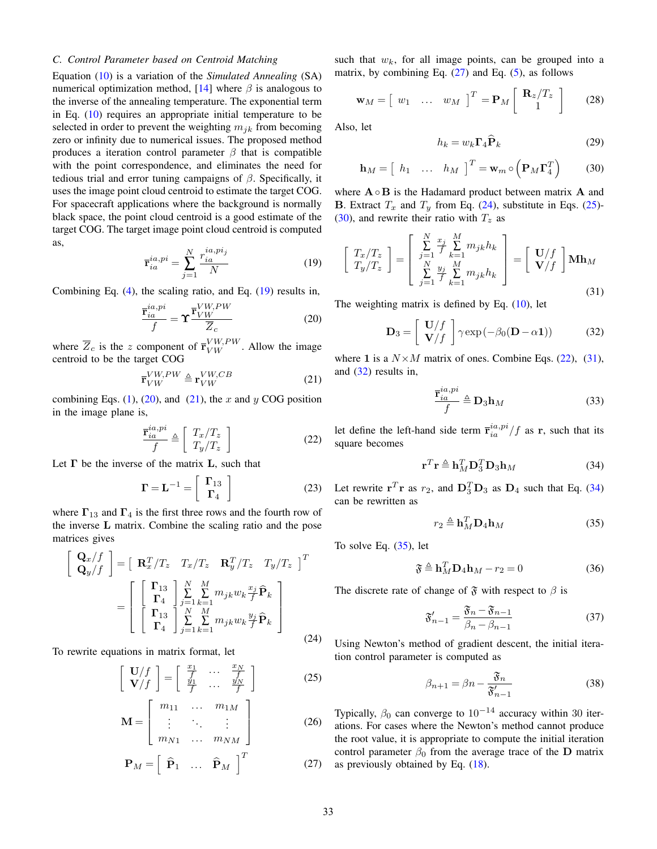# *C. Control Parameter based on Centroid Matching*

Equation (10) is a variation of the *Simulated Annealing* (SA) numerical optimization method,  $[14]$  where  $\beta$  is analogous to the inverse of the annealing temperature. The exponential term in Eq. (10) requires an appropriate initial temperature to be selected in order to prevent the weighting  $m_{ik}$  from becoming zero or infinity due to numerical issues. The proposed method produces a iteration control parameter  $\beta$  that is compatible with the point correspondence, and eliminates the need for tedious trial and error tuning campaigns of *β*. Specifically, it uses the image point cloud centroid to estimate the target COG. For spacecraft applications where the background is normally black space, the point cloud centroid is a good estimate of the target COG. The target image point cloud centroid is computed as,

$$
\overline{\mathbf{r}}_{ia}^{ia,pi} = \sum_{j=1}^{N} \frac{r_{ia}^{ia,pi_j}}{N}
$$
 (19)

Combining Eq. (4), the scaling ratio, and Eq. (19) results in,

$$
\frac{\bar{\mathbf{r}}_{ia}^{ia,pi}}{f} = \Upsilon \frac{\bar{\mathbf{r}}_{VW}^{VW,PW}}{\overline{Z}_c}
$$
(20)

where  $\overline{Z}_c$  is the *z* component of  $\overline{\mathbf{r}}_{VW}^{VW,PW}$ . Allow the image centroid to be the target COG centroid to be the target COG

$$
\overline{\mathbf{r}}_{VW}^{VW,PW} \triangleq \mathbf{r}_{VW}^{VW,CB} \tag{21}
$$

combining Eqs.  $(1)$ ,  $(20)$ , and  $(21)$ , the *x* and *y* COG position in the image plane is,

$$
\frac{\bar{\mathbf{r}}_{ia}^{ia,pi}}{f} \triangleq \left[ \begin{array}{c} T_x/T_z \\ T_y/T_z \end{array} \right] \tag{22}
$$

Let **Γ** be the inverse of the matrix **L**, such that

$$
\Gamma = \mathbf{L}^{-1} = \left[ \begin{array}{c} \Gamma_{13} \\ \Gamma_4 \end{array} \right] \tag{23}
$$

where  $\Gamma_{13}$  and  $\Gamma_4$  is the first three rows and the fourth row of the inverse **L** matrix. Combine the scaling ratio and the pose matrices gives

$$
\begin{bmatrix}\n\mathbf{Q}_x/f \\
\mathbf{Q}_y/f\n\end{bmatrix} = \begin{bmatrix}\n\mathbf{R}_x^T/T_z & T_x/T_z & \mathbf{R}_y^T/T_z & T_y/T_z\n\end{bmatrix}^T
$$
\n
$$
= \begin{bmatrix}\n\begin{bmatrix}\n\mathbf{\Gamma}_{13} \\
\mathbf{\Gamma}_4\n\end{bmatrix} \sum_{j=1}^N \sum_{k=1}^M m_{jk} w_k \frac{x_j}{f} \hat{\mathbf{P}}_k \\
\begin{bmatrix}\n\mathbf{\Gamma}_{13} \\
\mathbf{\Gamma}_4\n\end{bmatrix} \sum_{j=1}^N \sum_{k=1}^M m_{jk} w_k \frac{y_j}{f} \hat{\mathbf{P}}_k\n\end{bmatrix}
$$
\n(24)

To rewrite equations in matrix format, let

$$
\begin{bmatrix} \mathbf{U}/f \\ \mathbf{V}/f \end{bmatrix} = \begin{bmatrix} \frac{x_1}{f} & \cdots & \frac{x_N}{f} \\ \frac{y_1}{f} & \cdots & \frac{y_N}{f} \end{bmatrix}
$$
 (25)

$$
\mathbf{M} = \begin{bmatrix} m_{11} & \dots & m_{1M} \\ \vdots & \ddots & \vdots \\ m_{N1} & \dots & m_{NM} \end{bmatrix}
$$
 (26)  

$$
\mathbf{P}_M = \begin{bmatrix} \hat{\mathbf{P}}_1 & \dots & \hat{\mathbf{P}}_M \end{bmatrix}^T
$$
 (27)

such that  $w_k$ , for all image points, can be grouped into a matrix, by combining Eq.  $(27)$  and Eq.  $(5)$ , as follows

$$
\mathbf{w}_M = \begin{bmatrix} w_1 & \dots & w_M \end{bmatrix}^T = \mathbf{P}_M \begin{bmatrix} \mathbf{R}_z / T_z \\ 1 \end{bmatrix}
$$
 (28)

Also, let

$$
h_k = w_k \Gamma_4 \widehat{\mathbf{P}}_k \tag{29}
$$

$$
\mathbf{h}_M = \begin{bmatrix} h_1 & \dots & h_M \end{bmatrix}^T = \mathbf{w}_m \circ \left( \mathbf{P}_M \mathbf{\Gamma}_4^T \right) \tag{30}
$$

where **A**◦**B** is the Hadamard product between matrix **A** and **B**. Extract  $T_x$  and  $T_y$  from Eq. (24), substitute in Eqs. (25)-(30), and rewrite their ratio with  $T_z$  as

$$
\begin{bmatrix}\nT_x/T_z \\
T_y/T_z\n\end{bmatrix} = \begin{bmatrix}\n\sum_{j=1}^N \frac{x_j}{f} \sum_{k=1}^M m_{jk} h_k \\
\sum_{j=1}^N \frac{y_j}{f} \sum_{k=1}^M m_{jk} h_k\n\end{bmatrix} = \begin{bmatrix}\nU/f \\
V/f\n\end{bmatrix} \mathbf{M} \mathbf{h}_M
$$
\n(31)

The weighting matrix is defined by Eq.  $(10)$ , let

$$
\mathbf{D}_3 = \left[ \begin{array}{c} \mathbf{U}/f \\ \mathbf{V}/f \end{array} \right] \gamma \exp(-\beta_0 (\mathbf{D} - \alpha \mathbf{1})) \tag{32}
$$

where 1 is a  $N \times M$  matrix of ones. Combine Eqs. (22), (31), and (32) results in,

$$
\frac{\bar{\mathbf{r}}_{ia}^{ia,pi}}{f} \triangleq \mathbf{D}_3 \mathbf{h}_M \tag{33}
$$

let define the left-hand side term  $\bar{\mathbf{r}}_{ia}^{ia,pi}/f$  as **r**, such that its square becomes square becomes

$$
\mathbf{r}^T \mathbf{r} \triangleq \mathbf{h}_M^T \mathbf{D}_3^T \mathbf{D}_3 \mathbf{h}_M \tag{34}
$$

Let rewrite  $\mathbf{r}^T \mathbf{r}$  as  $r_2$ , and  $\mathbf{D}_3^T \mathbf{D}_3$  as  $\mathbf{D}_4$  such that Eq. (34) can be rewritten as

$$
r_2 \triangleq \mathbf{h}_M^T \mathbf{D}_4 \mathbf{h}_M \tag{35}
$$

To solve Eq. (35), let

$$
\mathfrak{F} \triangleq \mathbf{h}_M^T \mathbf{D}_4 \mathbf{h}_M - r_2 = 0 \tag{36}
$$

The discrete rate of change of  $\mathfrak F$  with respect to  $\beta$  is

$$
\mathfrak{F}_{n-1}' = \frac{\mathfrak{F}_n - \mathfrak{F}_{n-1}}{\beta_n - \beta_{n-1}}\tag{37}
$$

Using Newton's method of gradient descent, the initial iteration control parameter is computed as

$$
\beta_{n+1} = \beta n - \frac{\mathfrak{F}_n}{\mathfrak{F}'_{n-1}}\tag{38}
$$

Typically,  $\beta_0$  can converge to 10<sup>-14</sup> accuracy within 30 iterations. For cases where the Newton's method cannot produce the root value, it is appropriate to compute the initial iteration control parameter  $\beta_0$  from the average trace of the **D** matrix as previously obtained by Eq. (18).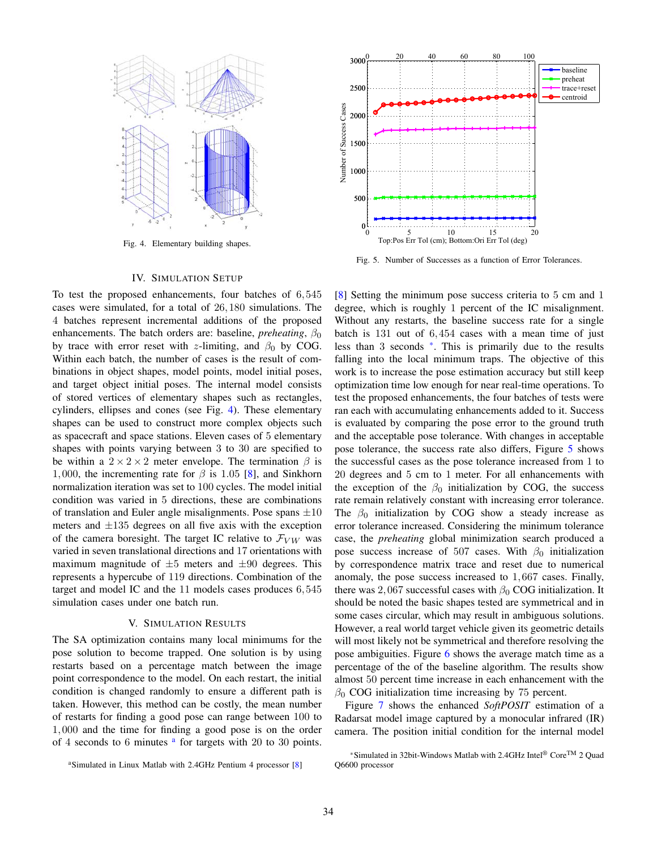

Fig. 4. Elementary building shapes.

# IV. SIMULATION SETUP

To test the proposed enhancements, four batches of 6*,*545 cases were simulated, for a total of 26*,*180 simulations. The 4 batches represent incremental additions of the proposed enhancements. The batch orders are: baseline, *preheating*,  $\beta_0$ by trace with error reset with *z*-limiting, and *β*<sup>0</sup> by COG. Within each batch, the number of cases is the result of combinations in object shapes, model points, model initial poses, and target object initial poses. The internal model consists of stored vertices of elementary shapes such as rectangles, cylinders, ellipses and cones (see Fig. 4). These elementary shapes can be used to construct more complex objects such as spacecraft and space stations. Eleven cases of 5 elementary shapes with points varying between 3 to 30 are specified to be within a  $2 \times 2 \times 2$  meter envelope. The termination  $\beta$  is 1,000, the incrementing rate for  $\beta$  is 1.05 [8], and Sinkhorn normalization iteration was set to 100 cycles. The model initial condition was varied in 5 directions, these are combinations of translation and Euler angle misalignments. Pose spans  $\pm 10$ meters and  $\pm 135$  degrees on all five axis with the exception of the camera boresight. The target IC relative to  $\mathcal{F}_{VW}$  was varied in seven translational directions and 17 orientations with maximum magnitude of  $\pm 5$  meters and  $\pm 90$  degrees. This represents a hypercube of 119 directions. Combination of the target and model IC and the 11 models cases produces 6*,*545 simulation cases under one batch run.

### V. SIMULATION RESULTS

The SA optimization contains many local minimums for the pose solution to become trapped. One solution is by using restarts based on a percentage match between the image point correspondence to the model. On each restart, the initial condition is changed randomly to ensure a different path is taken. However, this method can be costly, the mean number of restarts for finding a good pose can range between 100 to 1*,*000 and the time for finding a good pose is on the order of 4 seconds to 6 minutes  $a$  for targets with 20 to 30 points.





Fig. 5. Number of Successes as a function of Error Tolerances.

[8] Setting the minimum pose success criteria to 5 cm and 1 degree, which is roughly 1 percent of the IC misalignment. Without any restarts, the baseline success rate for a single batch is 131 out of 6*,*454 cases with a mean time of just less than 3 seconds \*. This is primarily due to the results falling into the local minimum traps. The objective of this work is to increase the pose estimation accuracy but still keep optimization time low enough for near real-time operations. To test the proposed enhancements, the four batches of tests were ran each with accumulating enhancements added to it. Success is evaluated by comparing the pose error to the ground truth and the acceptable pose tolerance. With changes in acceptable pose tolerance, the success rate also differs, Figure 5 shows the successful cases as the pose tolerance increased from 1 to 20 degrees and 5 cm to 1 meter. For all enhancements with the exception of the  $\beta_0$  initialization by COG, the success rate remain relatively constant with increasing error tolerance. The  $\beta_0$  initialization by COG show a steady increase as error tolerance increased. Considering the minimum tolerance case, the *preheating* global minimization search produced a pose success increase of 507 cases. With  $\beta_0$  initialization by correspondence matrix trace and reset due to numerical anomaly, the pose success increased to 1*,*667 cases. Finally, there was 2,067 successful cases with  $\beta_0$  COG initialization. It should be noted the basic shapes tested are symmetrical and in some cases circular, which may result in ambiguous solutions. However, a real world target vehicle given its geometric details will most likely not be symmetrical and therefore resolving the pose ambiguities. Figure 6 shows the average match time as a percentage of the of the baseline algorithm. The results show almost 50 percent time increase in each enhancement with the  $\beta_0$  COG initialization time increasing by 75 percent.

Figure 7 shows the enhanced *SoftPOSIT* estimation of a Radarsat model image captured by a monocular infrared (IR) camera. The position initial condition for the internal model

<sup>\*</sup>Simulated in 32bit-Windows Matlab with 2.4GHz Intel<sup>®</sup> Core<sup>TM</sup> 2 Quad Q6600 processor